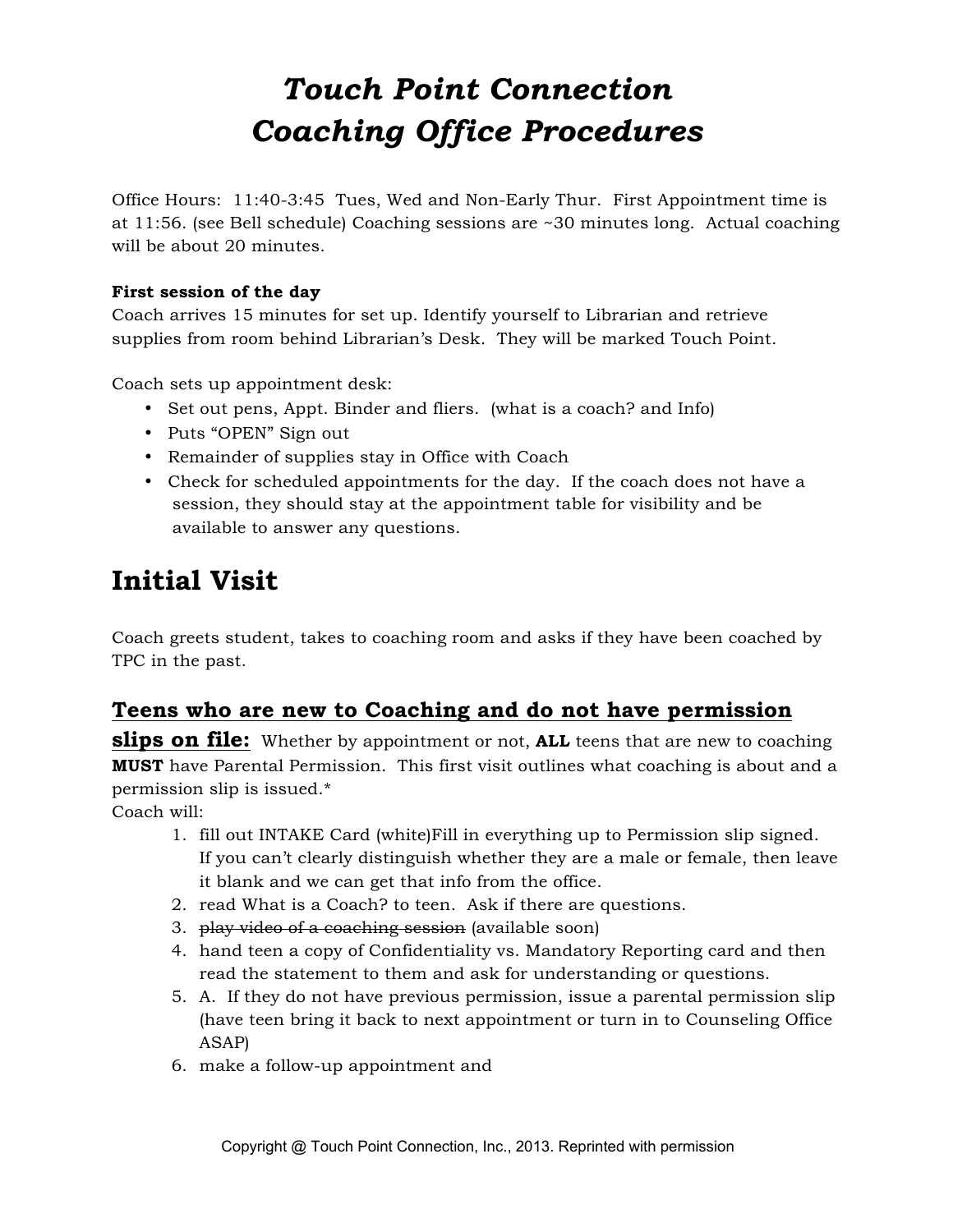# *Touch Point Connection Coaching Office Procedures*

Office Hours: 11:40-3:45 Tues, Wed and Non-Early Thur. First Appointment time is at 11:56. (see Bell schedule) Coaching sessions are ~30 minutes long. Actual coaching will be about 20 minutes.

#### **First session of the day**

Coach arrives 15 minutes for set up. Identify yourself to Librarian and retrieve supplies from room behind Librarian's Desk. They will be marked Touch Point.

Coach sets up appointment desk:

- Set out pens, Appt. Binder and fliers. (what is a coach? and Info)
- Puts "OPEN" Sign out
- Remainder of supplies stay in Office with Coach
- Check for scheduled appointments for the day. If the coach does not have a session, they should stay at the appointment table for visibility and be available to answer any questions.

# **Initial Visit**

Coach greets student, takes to coaching room and asks if they have been coached by TPC in the past.

# **Teens who are new to Coaching and do not have permission**

**slips on file:** Whether by appointment or not, **ALL** teens that are new to coaching **MUST** have Parental Permission. This first visit outlines what coaching is about and a permission slip is issued.\*

Coach will:

- 1. fill out INTAKE Card (white)Fill in everything up to Permission slip signed. If you can't clearly distinguish whether they are a male or female, then leave it blank and we can get that info from the office.
- 2. read What is a Coach? to teen. Ask if there are questions.
- 3. play video of a coaching session (available soon)
- 4. hand teen a copy of Confidentiality vs. Mandatory Reporting card and then read the statement to them and ask for understanding or questions.
- 5. A. If they do not have previous permission, issue a parental permission slip (have teen bring it back to next appointment or turn in to Counseling Office ASAP)
- 6. make a follow-up appointment and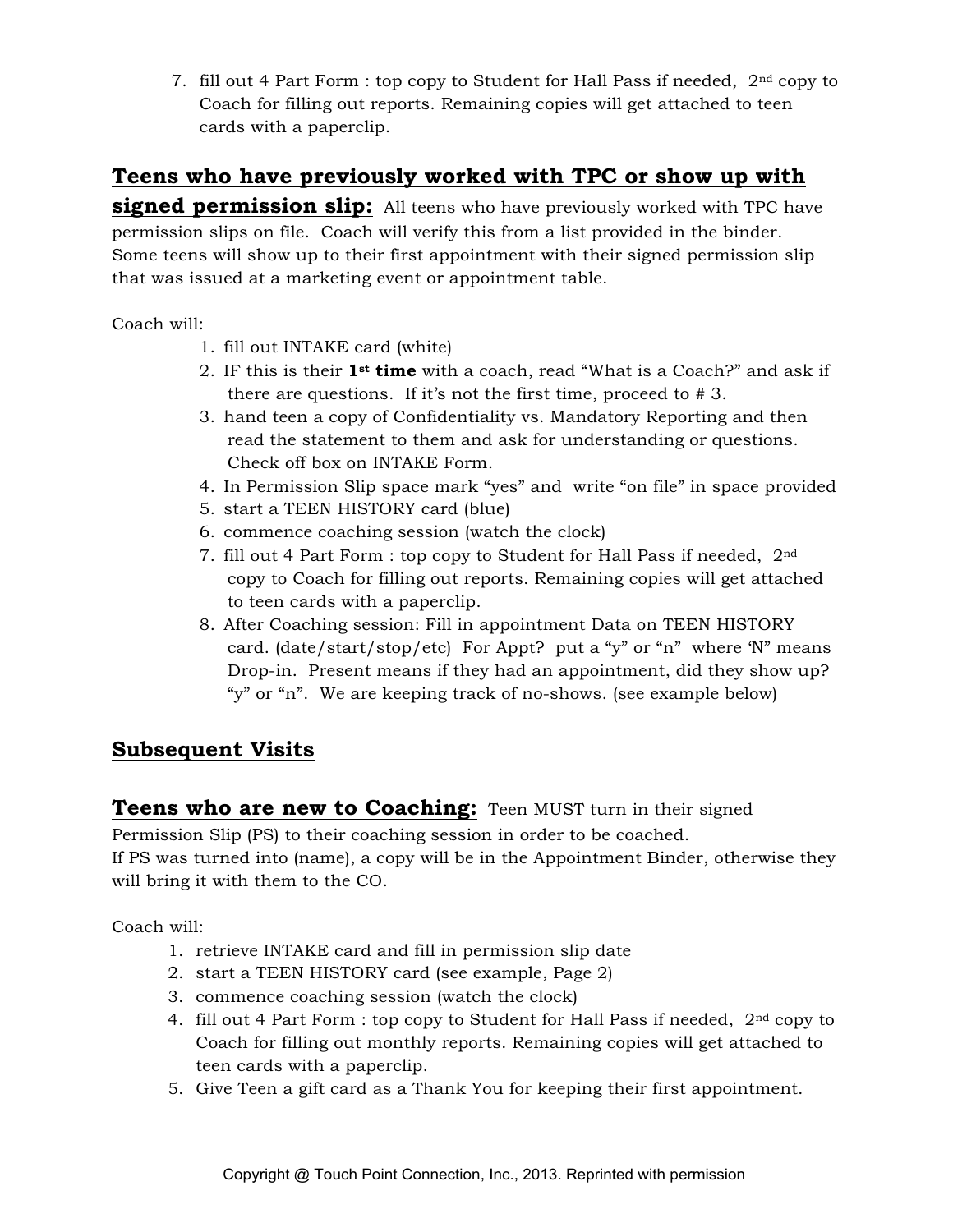7. fill out 4 Part Form : top copy to Student for Hall Pass if needed,  $2<sup>nd</sup>$  copy to Coach for filling out reports. Remaining copies will get attached to teen cards with a paperclip.

### **Teens who have previously worked with TPC or show up with**

**signed permission slip:** All teens who have previously worked with TPC have permission slips on file. Coach will verify this from a list provided in the binder. Some teens will show up to their first appointment with their signed permission slip that was issued at a marketing event or appointment table.

Coach will:

- 1. fill out INTAKE card (white)
- 2. IF this is their **1st time** with a coach, read "What is a Coach?" and ask if there are questions. If it's not the first time, proceed to # 3.
- 3. hand teen a copy of Confidentiality vs. Mandatory Reporting and then read the statement to them and ask for understanding or questions. Check off box on INTAKE Form.
- 4. In Permission Slip space mark "yes" and write "on file" in space provided
- 5. start a TEEN HISTORY card (blue)
- 6. commence coaching session (watch the clock)
- 7. fill out 4 Part Form : top copy to Student for Hall Pass if needed, 2nd copy to Coach for filling out reports. Remaining copies will get attached to teen cards with a paperclip.
- 8. After Coaching session: Fill in appointment Data on TEEN HISTORY card. (date/start/stop/etc) For Appt? put a "y" or "n" where 'N" means Drop-in. Present means if they had an appointment, did they show up? "y" or "n". We are keeping track of no-shows. (see example below)

## **Subsequent Visits**

**Teens who are new to Coaching:** Teen MUST turn in their signed

Permission Slip (PS) to their coaching session in order to be coached.

If PS was turned into (name), a copy will be in the Appointment Binder, otherwise they will bring it with them to the CO.

Coach will:

- 1. retrieve INTAKE card and fill in permission slip date
- 2. start a TEEN HISTORY card (see example, Page 2)
- 3. commence coaching session (watch the clock)
- 4. fill out 4 Part Form : top copy to Student for Hall Pass if needed, 2nd copy to Coach for filling out monthly reports. Remaining copies will get attached to teen cards with a paperclip.
- 5. Give Teen a gift card as a Thank You for keeping their first appointment.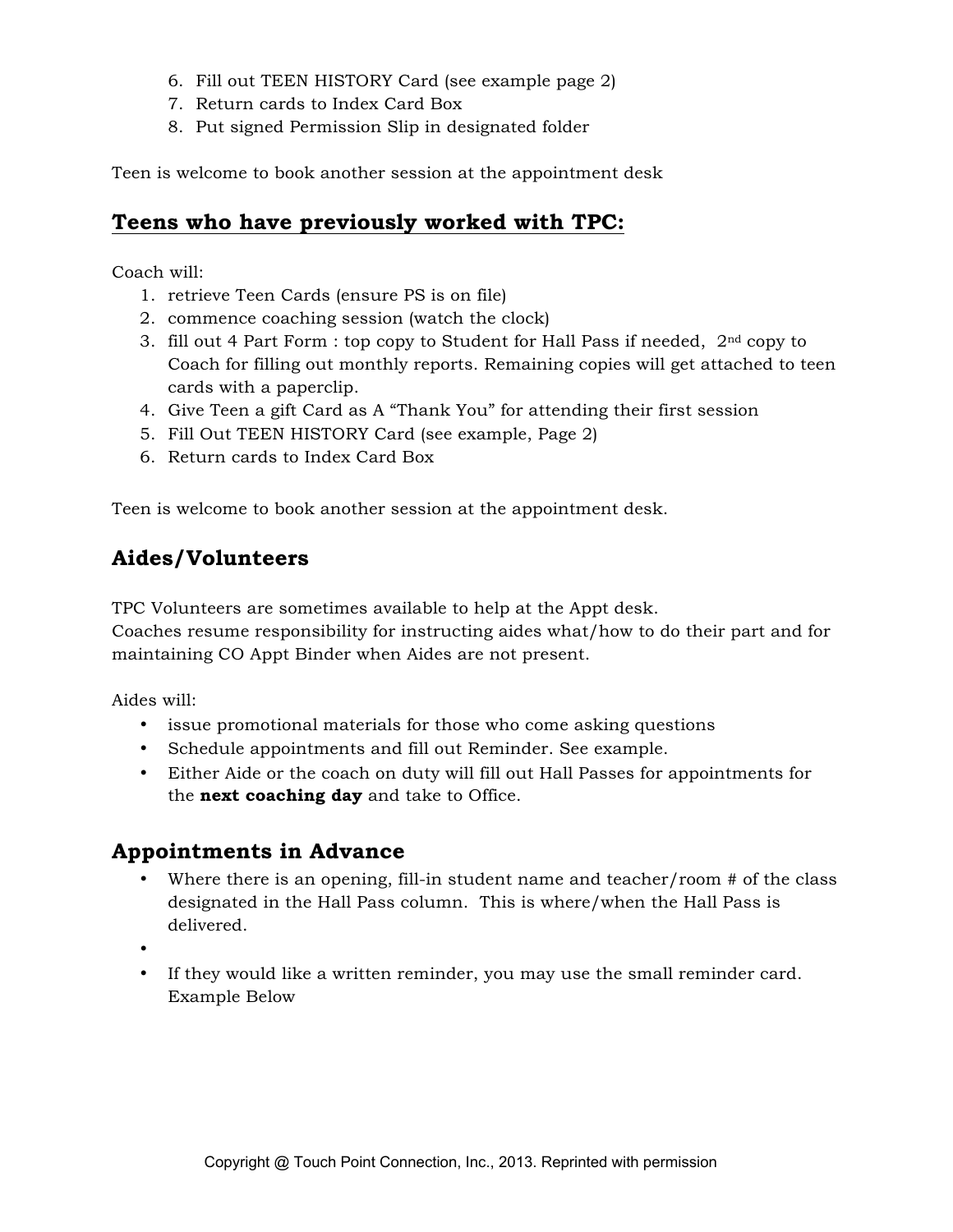- 6. Fill out TEEN HISTORY Card (see example page 2)
- 7. Return cards to Index Card Box
- 8. Put signed Permission Slip in designated folder

Teen is welcome to book another session at the appointment desk

#### **Teens who have previously worked with TPC:**

Coach will:

- 1. retrieve Teen Cards (ensure PS is on file)
- 2. commence coaching session (watch the clock)
- 3. fill out 4 Part Form : top copy to Student for Hall Pass if needed,  $2<sup>nd</sup>$  copy to Coach for filling out monthly reports. Remaining copies will get attached to teen cards with a paperclip.
- 4. Give Teen a gift Card as A "Thank You" for attending their first session
- 5. Fill Out TEEN HISTORY Card (see example, Page 2)
- 6. Return cards to Index Card Box

Teen is welcome to book another session at the appointment desk.

# **Aides/Volunteers**

TPC Volunteers are sometimes available to help at the Appt desk.

Coaches resume responsibility for instructing aides what/how to do their part and for maintaining CO Appt Binder when Aides are not present.

Aides will:

- issue promotional materials for those who come asking questions
- Schedule appointments and fill out Reminder. See example.
- Either Aide or the coach on duty will fill out Hall Passes for appointments for the **next coaching day** and take to Office.

#### **Appointments in Advance**

- Where there is an opening, fill-in student name and teacher/room # of the class designated in the Hall Pass column. This is where/when the Hall Pass is delivered.
- •
- If they would like a written reminder, you may use the small reminder card. Example Below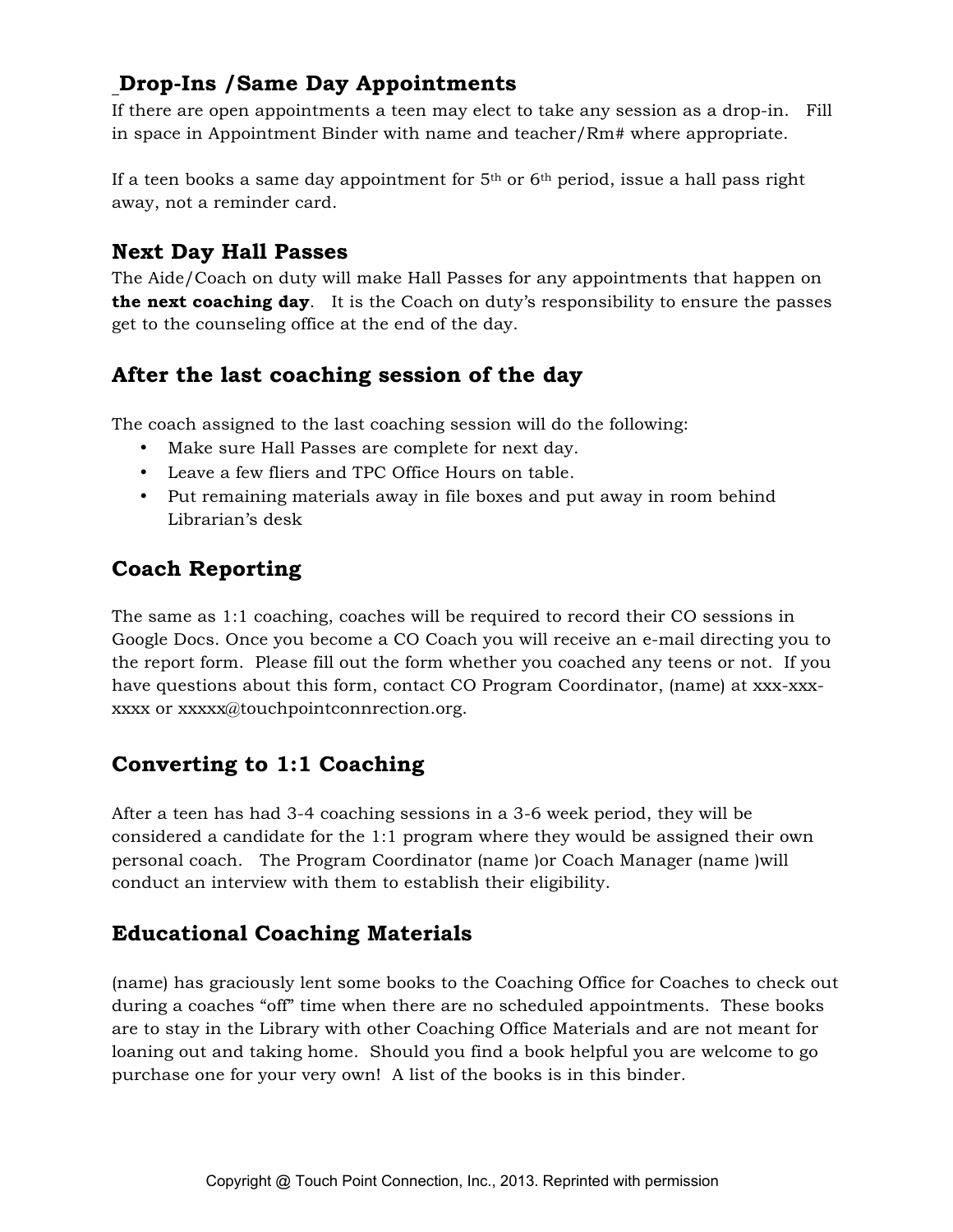# **Drop-Ins /Same Day Appointments**

If there are open appointments a teen may elect to take any session as a drop-in. Fill in space in Appointment Binder with name and teacher/Rm# where appropriate.

If a teen books a same day appointment for  $5<sup>th</sup>$  or  $6<sup>th</sup>$  period, issue a hall pass right away, not a reminder card.

# **Next Day Hall Passes**

The Aide/Coach on duty will make Hall Passes for any appointments that happen on **the next coaching day**. It is the Coach on duty's responsibility to ensure the passes get to the counseling office at the end of the day.

# **After the last coaching session of the day**

The coach assigned to the last coaching session will do the following:

- Make sure Hall Passes are complete for next day.
- Leave a few fliers and TPC Office Hours on table.
- Put remaining materials away in file boxes and put away in room behind Librarian's desk

# **Coach Reporting**

The same as 1:1 coaching, coaches will be required to record their CO sessions in Google Docs. Once you become a CO Coach you will receive an e-mail directing you to the report form. Please fill out the form whether you coached any teens or not. If you have questions about this form, contact CO Program Coordinator, (name) at xxx-xxxxxxx or xxxxx@touchpointconnrection.org.

# **Converting to 1:1 Coaching**

After a teen has had 3-4 coaching sessions in a 3-6 week period, they will be considered a candidate for the 1:1 program where they would be assigned their own personal coach. The Program Coordinator (name )or Coach Manager (name )will conduct an interview with them to establish their eligibility.

# **Educational Coaching Materials**

(name) has graciously lent some books to the Coaching Office for Coaches to check out during a coaches "off" time when there are no scheduled appointments. These books are to stay in the Library with other Coaching Office Materials and are not meant for loaning out and taking home. Should you find a book helpful you are welcome to go purchase one for your very own! A list of the books is in this binder.